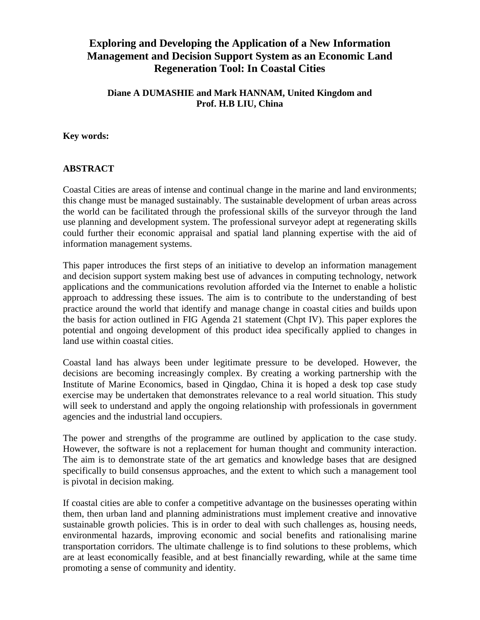# **Exploring and Developing the Application of a New Information Management and Decision Support System as an Economic Land Regeneration Tool: In Coastal Cities**

## **Diane A DUMASHIE and Mark HANNAM, United Kingdom and Prof. H.B LIU, China**

#### **Key words:**

## **ABSTRACT**

Coastal Cities are areas of intense and continual change in the marine and land environments; this change must be managed sustainably. The sustainable development of urban areas across the world can be facilitated through the professional skills of the surveyor through the land use planning and development system. The professional surveyor adept at regenerating skills could further their economic appraisal and spatial land planning expertise with the aid of information management systems.

This paper introduces the first steps of an initiative to develop an information management and decision support system making best use of advances in computing technology, network applications and the communications revolution afforded via the Internet to enable a holistic approach to addressing these issues. The aim is to contribute to the understanding of best practice around the world that identify and manage change in coastal cities and builds upon the basis for action outlined in FIG Agenda 21 statement (Chpt IV). This paper explores the potential and ongoing development of this product idea specifically applied to changes in land use within coastal cities.

Coastal land has always been under legitimate pressure to be developed. However, the decisions are becoming increasingly complex. By creating a working partnership with the Institute of Marine Economics, based in Qingdao, China it is hoped a desk top case study exercise may be undertaken that demonstrates relevance to a real world situation. This study will seek to understand and apply the ongoing relationship with professionals in government agencies and the industrial land occupiers.

The power and strengths of the programme are outlined by application to the case study. However, the software is not a replacement for human thought and community interaction. The aim is to demonstrate state of the art gematics and knowledge bases that are designed specifically to build consensus approaches, and the extent to which such a management tool is pivotal in decision making.

If coastal cities are able to confer a competitive advantage on the businesses operating within them, then urban land and planning administrations must implement creative and innovative sustainable growth policies. This is in order to deal with such challenges as, housing needs, environmental hazards, improving economic and social benefits and rationalising marine transportation corridors. The ultimate challenge is to find solutions to these problems, which are at least economically feasible, and at best financially rewarding, while at the same time promoting a sense of community and identity.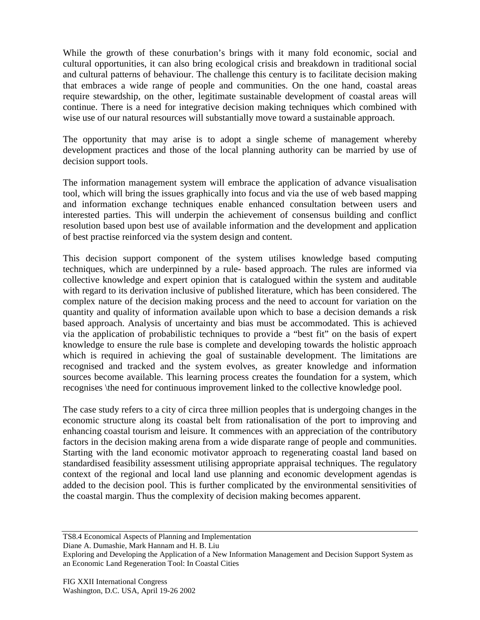While the growth of these conurbation's brings with it many fold economic, social and cultural opportunities, it can also bring ecological crisis and breakdown in traditional social and cultural patterns of behaviour. The challenge this century is to facilitate decision making that embraces a wide range of people and communities. On the one hand, coastal areas require stewardship, on the other, legitimate sustainable development of coastal areas will continue. There is a need for integrative decision making techniques which combined with wise use of our natural resources will substantially move toward a sustainable approach.

The opportunity that may arise is to adopt a single scheme of management whereby development practices and those of the local planning authority can be married by use of decision support tools.

The information management system will embrace the application of advance visualisation tool, which will bring the issues graphically into focus and via the use of web based mapping and information exchange techniques enable enhanced consultation between users and interested parties. This will underpin the achievement of consensus building and conflict resolution based upon best use of available information and the development and application of best practise reinforced via the system design and content.

This decision support component of the system utilises knowledge based computing techniques, which are underpinned by a rule- based approach. The rules are informed via collective knowledge and expert opinion that is catalogued within the system and auditable with regard to its derivation inclusive of published literature, which has been considered. The complex nature of the decision making process and the need to account for variation on the quantity and quality of information available upon which to base a decision demands a risk based approach. Analysis of uncertainty and bias must be accommodated. This is achieved via the application of probabilistic techniques to provide a "best fit" on the basis of expert knowledge to ensure the rule base is complete and developing towards the holistic approach which is required in achieving the goal of sustainable development. The limitations are recognised and tracked and the system evolves, as greater knowledge and information sources become available. This learning process creates the foundation for a system, which recognises \the need for continuous improvement linked to the collective knowledge pool.

The case study refers to a city of circa three million peoples that is undergoing changes in the economic structure along its coastal belt from rationalisation of the port to improving and enhancing coastal tourism and leisure. It commences with an appreciation of the contributory factors in the decision making arena from a wide disparate range of people and communities. Starting with the land economic motivator approach to regenerating coastal land based on standardised feasibility assessment utilising appropriate appraisal techniques. The regulatory context of the regional and local land use planning and economic development agendas is added to the decision pool. This is further complicated by the environmental sensitivities of the coastal margin. Thus the complexity of decision making becomes apparent.

Diane A. Dumashie, Mark Hannam and H. B. Liu

TS8.4 Economical Aspects of Planning and Implementation

Exploring and Developing the Application of a New Information Management and Decision Support System as an Economic Land Regeneration Tool: In Coastal Cities